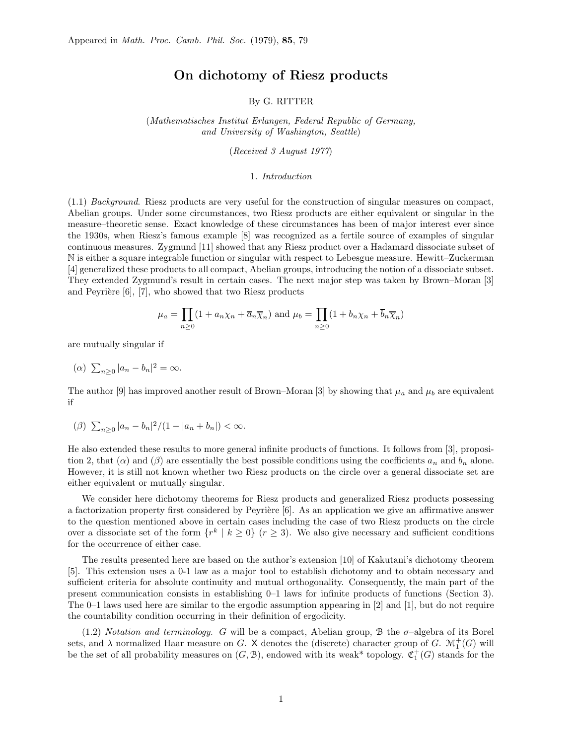## On dichotomy of Riesz products

By G. RITTER

(Mathematisches Institut Erlangen, Federal Republic of Germany, and University of Washington, Seattle)

(Received 3 August 1977)

#### 1. Introduction

(1.1) Background. Riesz products are very useful for the construction of singular measures on compact, Abelian groups. Under some circumstances, two Riesz products are either equivalent or singular in the measure–theoretic sense. Exact knowledge of these circumstances has been of major interest ever since the 1930s, when Riesz's famous example [8] was recognized as a fertile source of examples of singular continuous measures. Zygmund [11] showed that any Riesz product over a Hadamard dissociate subset of N is either a square integrable function or singular with respect to Lebesgue measure. Hewitt–Zuckerman [4] generalized these products to all compact, Abelian groups, introducing the notion of a dissociate subset. They extended Zygmund's result in certain cases. The next major step was taken by Brown–Moran [3] and Peyrière  $[6]$ ,  $[7]$ , who showed that two Riesz products

$$
\mu_a = \prod_{n\geq 0} (1 + a_n \chi_n + \overline{a}_n \overline{\chi}_n)
$$
 and  $\mu_b = \prod_{n\geq 0} (1 + b_n \chi_n + \overline{b}_n \overline{\chi}_n)$ 

are mutually singular if

(a)  $\sum_{n\geq 0} |a_n - b_n|^2 = \infty$ .

The author [9] has improved another result of Brown–Moran [3] by showing that  $\mu_a$  and  $\mu_b$  are equivalent if

$$
(\beta) \sum_{n\geq 0} |a_n - b_n|^2 / (1 - |a_n + b_n|) < \infty.
$$

He also extended these results to more general infinite products of functions. It follows from [3], proposition 2, that ( $\alpha$ ) and ( $\beta$ ) are essentially the best possible conditions using the coefficients  $a_n$  and  $b_n$  alone. However, it is still not known whether two Riesz products on the circle over a general dissociate set are either equivalent or mutually singular.

We consider here dichotomy theorems for Riesz products and generalized Riesz products possessing a factorization property first considered by Peyrière  $[6]$ . As an application we give an affirmative answer to the question mentioned above in certain cases including the case of two Riesz products on the circle over a dissociate set of the form  $\{r^k \mid k \geq 0\}$   $(r \geq 3)$ . We also give necessary and sufficient conditions for the occurrence of either case.

The results presented here are based on the author's extension [10] of Kakutani's dichotomy theorem [5]. This extension uses a 0-1 law as a major tool to establish dichotomy and to obtain necessary and sufficient criteria for absolute continuity and mutual orthogonality. Consequently, the main part of the present communication consists in establishing 0–1 laws for infinite products of functions (Section 3). The 0–1 laws used here are similar to the ergodic assumption appearing in [2] and [1], but do not require the countability condition occurring in their definition of ergodicity.

 $(1.2)$  Notation and terminology. G will be a compact, Abelian group, B the  $\sigma$ -algebra of its Borel sets, and  $\lambda$  normalized Haar measure on G. X denotes the (discrete) character group of G.  $\mathcal{M}_1^+(G)$  will be the set of all probability measures on  $(G, \mathcal{B})$ , endowed with its weak\* topology.  $\mathfrak{C}_1^+(G)$  stands for the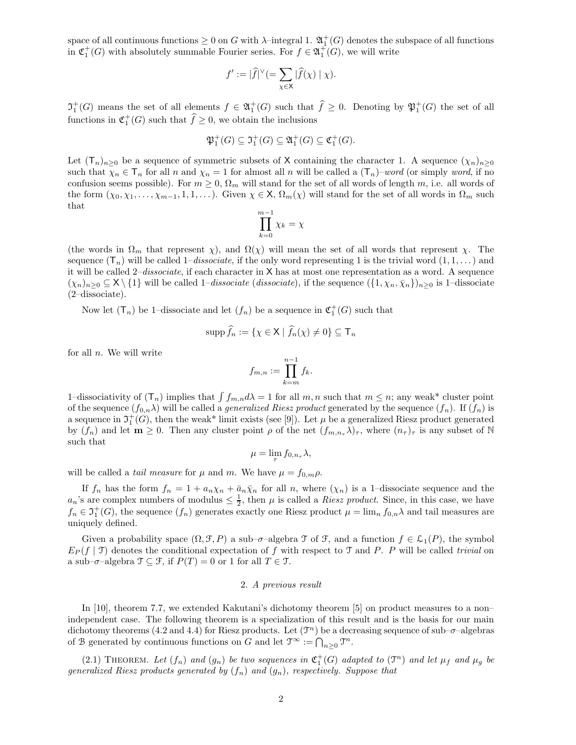space of all continuous functions  $\geq 0$  on G with  $\lambda$ -integral 1.  $\mathfrak{A}^+_1(G)$  denotes the subspace of all functions in  $\mathfrak{C}_1^+(G)$  with absolutely summable Fourier series. For  $f \in \mathfrak{A}_1^+(G)$ , we will write

$$
f' := |\widehat{f}|^{\vee} (=\sum_{\chi \in \mathsf{X}} |\widehat{f}(\chi)| \chi).
$$

 $\mathfrak{I}^+_1(G)$  means the set of all elements  $f \in \mathfrak{A}^+_1(G)$  such that  $\widehat{f} \geq 0$ . Denoting by  $\mathfrak{P}^+_1(G)$  the set of all functions in  $\mathfrak{C}_1^+(G)$  such that  $\widehat{f} \geq 0$ , we obtain the inclusions

$$
\mathfrak{P}_1^+(G) \subseteq \mathfrak{I}_1^+(G) \subseteq \mathfrak{A}_1^+(G) \subseteq \mathfrak{C}_1^+(G).
$$

Let  $(T_n)_{n>0}$  be a sequence of symmetric subsets of X containing the character 1. A sequence  $(\chi_n)_{n>0}$ such that  $\chi_n \in \mathsf{T}_n$  for all n and  $\chi_n = 1$  for almost all n will be called a  $(\mathsf{T}_n)$ –word (or simply word, if no confusion seems possible). For  $m \geq 0$ ,  $\Omega_m$  will stand for the set of all words of length m, i.e. all words of the form  $(\chi_0, \chi_1, \ldots, \chi_{m-1}, 1, 1, \ldots)$ . Given  $\chi \in \mathsf{X}$ ,  $\Omega_m(\chi)$  will stand for the set of all words in  $\Omega_m$  such that

$$
\prod_{k=0}^{m-1} \chi_k = \chi
$$

(the words in  $\Omega_m$  that represent  $\chi$ ), and  $\Omega(\chi)$  will mean the set of all words that represent  $\chi$ . The sequence  $(T_n)$  will be called 1–dissociate, if the only word representing 1 is the trivial word  $(1, 1, \dots)$  and it will be called 2–dissociate, if each character in X has at most one representation as a word. A sequence  $(\chi_n)_{n\geq 0} \subseteq X \setminus \{1\}$  will be called  $1-dissociate$  (dissociate), if the sequence  $(\{1,\chi_n,\bar{\chi}_n\})_{n\geq 0}$  is 1–dissociate (2–dissociate).

Now let  $(T_n)$  be 1-dissociate and let  $(f_n)$  be a sequence in  $\mathfrak{C}_1^+(G)$  such that

$$
\operatorname{supp} \widehat{f}_n := \{ \chi \in \mathsf{X} \mid \widehat{f}_n(\chi) \neq 0 \} \subseteq \mathsf{T}_n
$$

for all  $n$ . We will write

$$
f_{m,n} := \prod_{k=m}^{n-1} f_k.
$$

1-dissociativity of  $(T_n)$  implies that  $\int f_{m,n} d\lambda = 1$  for all  $m, n$  such that  $m \leq n$ ; any weak\* cluster point of the sequence  $(f_{0,n}\lambda)$  will be called a *generalized Riesz product* generated by the sequence  $(f_n)$ . If  $(f_n)$  is a sequence in  $\mathfrak{I}^+_1(G)$ , then the weak\* limit exists (see [9]). Let  $\mu$  be a generalized Riesz product generated by  $(f_n)$  and let  $m \geq 0$ . Then any cluster point  $\rho$  of the net  $(f_{m,n} \lambda)_{\tau}$ , where  $(n_{\tau})_{\tau}$  is any subset of N such that

$$
\mu = \lim_{\tau} f_{0,n_{\tau}} \lambda,
$$

will be called a *tail measure* for  $\mu$  and m. We have  $\mu = f_{0,m}\rho$ .

If  $f_n$  has the form  $f_n = 1 + a_n \chi_n + \bar{a}_n \bar{\chi}_n$  for all n, where  $(\chi_n)$  is a 1-dissociate sequence and the  $a_n$ 's are complex numbers of modulus  $\leq \frac{1}{2}$ , then  $\mu$  is called a *Riesz product*. Since, in this case, we have  $f_n \in \mathfrak{I}^+_1(G)$ , the sequence  $(f_n)$  generates exactly one Riesz product  $\mu = \lim_n f_{0,n} \lambda$  and tail measures are uniquely defined.

Given a probability space  $(\Omega, \mathcal{F}, P)$  a sub– $\sigma$ –algebra  $\mathcal{T}$  of  $\mathcal{F}$ , and a function  $f \in \mathcal{L}_1(P)$ , the symbol  $E_P(f | \mathcal{T})$  denotes the conditional expectation of f with respect to  $\mathcal{T}$  and P. P will be called trivial on a sub– $\sigma$ –algebra  $\mathfrak{T} \subseteq \mathfrak{F}$ , if  $P(T) = 0$  or 1 for all  $T \in \mathfrak{T}$ .

### 2. A previous result

In [10], theorem 7.7, we extended Kakutani's dichotomy theorem [5] on product measures to a non– independent case. The following theorem is a specialization of this result and is the basis for our main dichotomy theorems (4.2 and 4.4) for Riesz products. Let  $(\mathcal{T}^n)$  be a decreasing sequence of sub- $\sigma$ -algebras of B generated by continuous functions on G and let  $\mathfrak{I}^{\infty} := \bigcap_{n \geq 0} \mathfrak{I}^n$ .

(2.1) THEOREM. Let  $(f_n)$  and  $(g_n)$  be two sequences in  $\mathfrak{C}_1^+(G)$  adapted to  $(\mathfrak{T}^n)$  and let  $\mu_f$  and  $\mu_g$  be generalized Riesz products generated by  $(f_n)$  and  $(g_n)$ , respectively. Suppose that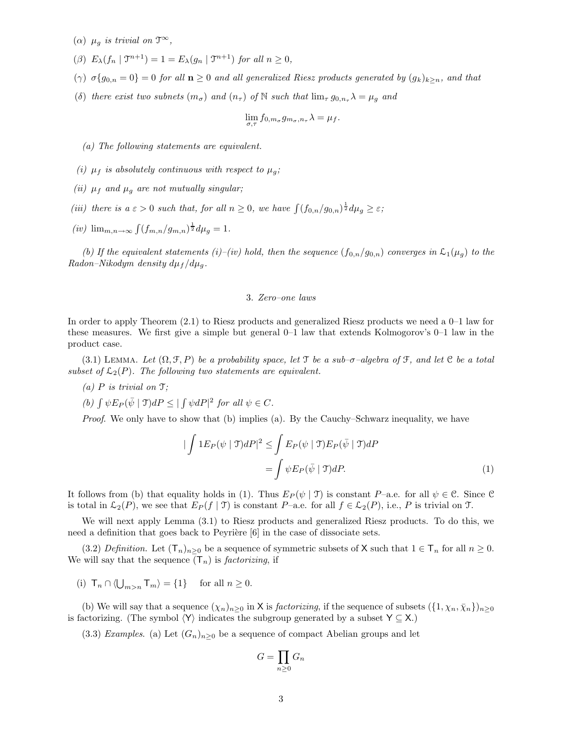- ( $\alpha$ )  $\mu_q$  is trivial on  $\mathfrak{T}^{\infty}$ ,
- ( $\beta$ )  $E_{\lambda}(f_n | \mathcal{T}^{n+1}) = 1 = E_{\lambda}(g_n | \mathcal{T}^{n+1})$  for all  $n \geq 0$ ,
- ( $\gamma$ )  $\sigma\{g_{0,n}=0\} = 0$  for all  $n \geq 0$  and all generalized Riesz products generated by  $(g_k)_{k \geq n}$ , and that
- (δ) there exist two subnets  $(m_{\sigma})$  and  $(n_{\tau})$  of N such that  $\lim_{\tau} g_{0,n_{\tau}} \lambda = \mu_g$  and

$$
\lim_{\sigma,\tau} f_{0,m_{\sigma}} g_{m_{\sigma},n_{\tau}} \lambda = \mu_f.
$$

(a) The following statements are equivalent.

- (i)  $\mu_f$  is absolutely continuous with respect to  $\mu_g$ ;
- (ii)  $\mu_f$  and  $\mu_g$  are not mutually singular;
- (iii) there is  $a \varepsilon > 0$  such that, for all  $n \geq 0$ , we have  $\int (f_{0,n}/g_{0,n})^{\frac{1}{2}} d\mu_g \geq \varepsilon$ ;
- (*iv*)  $\lim_{m,n\to\infty} \int (f_{m,n}/g_{m,n})^{\frac{1}{2}} d\mu_g = 1.$

(b) If the equivalent statements (i)–(iv) hold, then the sequence  $(f_{0,n}/g_{0,n})$  converges in  $\mathcal{L}_1(\mu_q)$  to the Radon–Nikodym density  $d\mu_f/d\mu_q$ .

#### 3. Zero–one laws

In order to apply Theorem (2.1) to Riesz products and generalized Riesz products we need a 0–1 law for these measures. We first give a simple but general 0–1 law that extends Kolmogorov's 0–1 law in the product case.

(3.1) LEMMA. Let  $(\Omega, \mathcal{F}, P)$  be a probability space, let T be a sub- $\sigma$ -algebra of  $\mathcal{F}$ , and let C be a total subset of  $\mathcal{L}_2(P)$ . The following two statements are equivalent.

(a)  $P$  is trivial on  $\mathfrak{T}$ ;

(b)  $\int \psi E_P(\bar{\psi} \mid \mathcal{T})dP \leq |\int \psi dP|^2$  for all  $\psi \in C$ .

Proof. We only have to show that (b) implies (a). By the Cauchy–Schwarz inequality, we have

$$
\begin{aligned}\n|\int 1E_P(\psi \mid \mathfrak{T})dP|^2 &\leq \int E_P(\psi \mid \mathfrak{T})E_P(\bar{\psi} \mid \mathfrak{T})dP \\
&= \int \psi E_P(\bar{\psi} \mid \mathfrak{T})dP.\n\end{aligned} \tag{1}
$$

It follows from (b) that equality holds in (1). Thus  $E_P(\psi \mid \mathcal{T})$  is constant P–a.e. for all  $\psi \in \mathcal{C}$ . Since  $\mathcal{C}$ is total in  $\mathcal{L}_2(P)$ , we see that  $E_P(f | \mathcal{T})$  is constant P–a.e. for all  $f \in \mathcal{L}_2(P)$ , i.e., P is trivial on  $\mathcal{T}$ .

We will next apply Lemma (3.1) to Riesz products and generalized Riesz products. To do this, we need a definition that goes back to Peyrière  $[6]$  in the case of dissociate sets.

(3.2) Definition. Let  $(\mathsf{T}_n)_{n>0}$  be a sequence of symmetric subsets of X such that  $1 \in \mathsf{T}_n$  for all  $n \geq 0$ . We will say that the sequence  $(T_n)$  is *factorizing*, if

(i)  $\mathsf{T}_n \cap \langle \bigcup_{m>n} \mathsf{T}_m \rangle = \{1\}$  for all  $n \geq 0$ .

(b) We will say that a sequence  $(\chi_n)_{n>0}$  in X is *factorizing*, if the sequence of subsets  $(\{1,\chi_n,\bar{\chi}_n\})_{n>0}$ is factorizing. (The symbol  $\langle Y \rangle$  indicates the subgroup generated by a subset  $Y \subseteq X$ .)

(3.3) Examples. (a) Let  $(G_n)_{n\geq 0}$  be a sequence of compact Abelian groups and let

$$
G = \prod_{n \ge 0} G_n
$$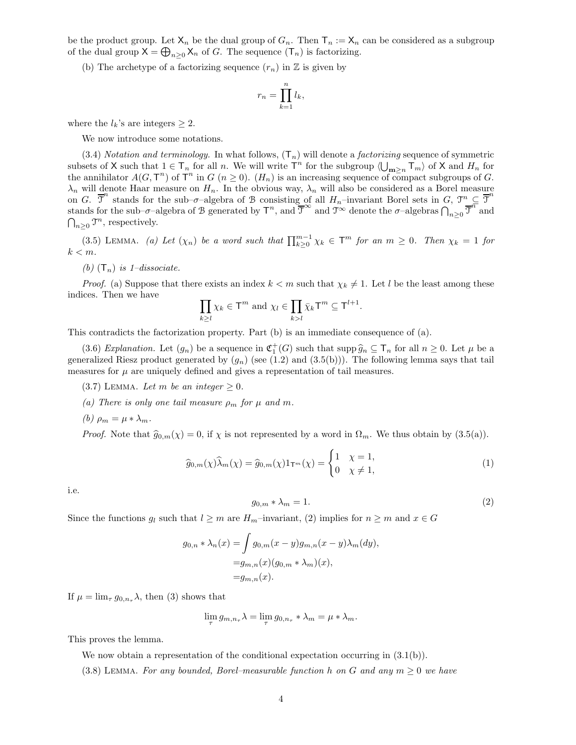be the product group. Let  $X_n$  be the dual group of  $G_n$ . Then  $T_n := X_n$  can be considered as a subgroup of the dual group  $X = \bigoplus_{n \geq 0} X_n$  of G. The sequence  $(T_n)$  is factorizing.

(b) The archetype of a factorizing sequence  $(r_n)$  in  $\mathbb Z$  is given by

$$
r_n = \prod_{k=1}^n l_k,
$$

where the  $l_k$ 's are integers  $\geq 2$ .

We now introduce some notations.

(3.4) Notation and terminology. In what follows,  $(T_n)$  will denote a *factorizing* sequence of symmetric subsets of X such that  $1 \in \mathsf{T}_n$  for all n. We will write  $\mathsf{T}^n$  for the subgroup  $\langle \bigcup_{\mathbf{m}\geq n} \mathsf{T}_m \rangle$  of X and  $H_n$  for the annihilator  $A(G, \mathsf{T}^n)$  of  $\mathsf{T}^n$  in  $G(n \geq 0)$ .  $(H_n)$  is an increasing sequence of compact subgroups of  $G$ .  $\lambda_n$  will denote Haar measure on  $H_n$ . In the obvious way,  $\lambda_n$  will also be considered as a Borel measure on G.  $\overline{\mathfrak{I}}^n$  stands for the sub– $\sigma$ –algebra of B consisting of all  $H_n$ –invariant Borel sets in G,  $\mathfrak{I}^n \subseteq \overline{\mathfrak{I}}^n$ stands for the sub– $\sigma$ –algebra of B generated by  $T^n$ , and  $\overline{T}^{\infty}$  and  $\mathcal{T}^{\infty}$  denote the  $\sigma$ –algebras  $\bigcap_{n\geq 0} \overline{T}^n$  and  $\bigcap_{n\geq 0} \mathfrak{I}^n$ , respectively.

(3.5) LEMMA. (a) Let  $(\chi_n)$  be a word such that  $\prod_{k\geq 0}^{m-1} \chi_k \in \mathsf{T}^m$  for an  $m \geq 0$ . Then  $\chi_k = 1$  for  $k < m$ .

(b)  $(T_n)$  is 1-dissociate.

*Proof.* (a) Suppose that there exists an index  $k < m$  such that  $\chi_k \neq 1$ . Let l be the least among these indices. Then we have

$$
\prod_{k\geq l} \chi_k \in \mathsf{T}^m \text{ and } \chi_l \in \prod_{k>l} \bar{\chi}_k \mathsf{T}^m \subseteq \mathsf{T}^{l+1}.
$$

This contradicts the factorization property. Part (b) is an immediate consequence of (a).

(3.6) Explanation. Let  $(g_n)$  be a sequence in  $\mathfrak{C}_1^+(G)$  such that  $\sup \widehat{g}_n \subseteq \mathsf{T}_n$  for all  $n \geq 0$ . Let  $\mu$  be a generalized Riesz product generated by  $(q_n)$  (see (1.2) and (3.5(b))). The following lemma says that tail measures for  $\mu$  are uniquely defined and gives a representation of tail measures.

- (3.7) LEMMA. Let m be an integer  $\geq 0$ .
- (a) There is only one tail measure  $\rho_m$  for  $\mu$  and m.
- (b)  $\rho_m = \mu * \lambda_m$ .

*Proof.* Note that  $\hat{g}_{0,m}(\chi) = 0$ , if  $\chi$  is not represented by a word in  $\Omega_m$ . We thus obtain by  $(3.5(a))$ .

$$
\widehat{g}_{0,m}(\chi)\widehat{\lambda}_m(\chi) = \widehat{g}_{0,m}(\chi)1_{\mathsf{T}^m}(\chi) = \begin{cases} 1 & \chi = 1, \\ 0 & \chi \neq 1, \end{cases}
$$
\n(1)

i.e.

$$
g_{0,m} * \lambda_m = 1. \tag{2}
$$

Since the functions  $g_l$  such that  $l \geq m$  are  $H_m$ –invariant, (2) implies for  $n \geq m$  and  $x \in G$ 

$$
g_{0,n} * \lambda_n(x) = \int g_{0,m}(x-y)g_{m,n}(x-y)\lambda_m(dy),
$$
  
=  $g_{m,n}(x)(g_{0,m} * \lambda_m)(x),$   
=  $g_{m,n}(x).$ 

If  $\mu = \lim_{\tau} g_{0,n_{\tau}} \lambda$ , then (3) shows that

$$
\lim_{\tau} g_{m,n_{\tau}} \lambda = \lim_{\tau} g_{0,n_{\tau}} * \lambda_m = \mu * \lambda_m.
$$

This proves the lemma.

We now obtain a representation of the conditional expectation occurring in  $(3.1(b))$ .

(3.8) LEMMA. For any bounded, Borel–measurable function h on G and any  $m \geq 0$  we have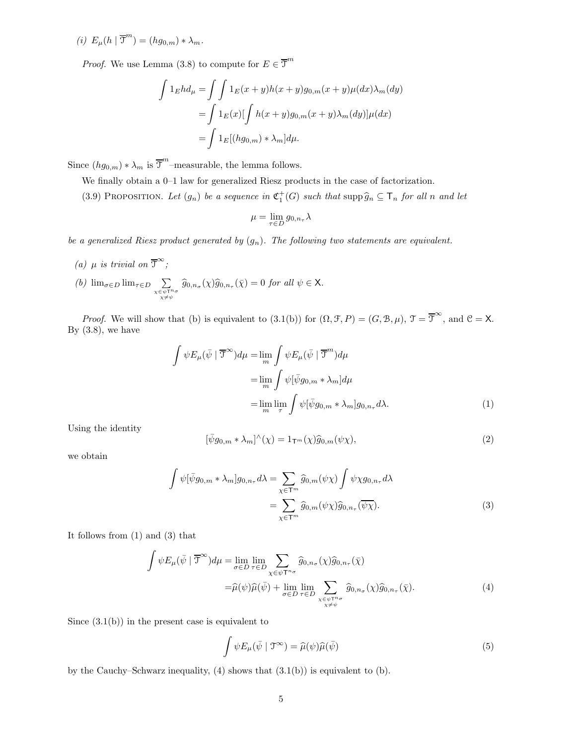(i)  $E_{\mu}(h \mid \overline{\mathcal{F}}^m) = (hg_{0,m}) * \lambda_m.$ 

*Proof.* We use Lemma (3.8) to compute for  $E \in \overline{\mathfrak{T}}^m$ 

$$
\int 1_E h d_\mu = \int \int 1_E(x+y)h(x+y)g_{0,m}(x+y)\mu(dx)\lambda_m(dy)
$$

$$
= \int 1_E(x)[\int h(x+y)g_{0,m}(x+y)\lambda_m(dy)]\mu(dx)
$$

$$
= \int 1_E[(hg_{0,m})*\lambda_m]d\mu.
$$

Since  $(hg_{0,m}) * \lambda_m$  is  $\overline{\mathfrak{I}}^m$ -measurable, the lemma follows.

We finally obtain a 0–1 law for generalized Riesz products in the case of factorization.

(3.9) PROPOSITION. Let  $(g_n)$  be a sequence in  $\mathfrak{C}_1^+(G)$  such that  $\text{supp}\,\widehat{g}_n \subseteq \mathsf{T}_n$  for all n and let

$$
\mu=\lim_{\tau\in D}g_{0,n_\tau}\lambda
$$

be a generalized Riesz product generated by  $(g_n)$ . The following two statements are equivalent.

(a)  $\mu$  is trivial on  $\overline{\mathfrak{T}}^{\infty}$ ; (b)  $\lim_{\sigma \in D} \lim_{\tau \in D}$   $\sum$  $\sum_{\substack{\chi \in \psi \mathsf{T}^n \sigma \\ \chi \neq \psi}} \widehat{g}_{0,n_\sigma}(\chi) \widehat{g}_{0,n_\tau}(\bar{\chi}) = 0 \text{ for all } \psi \in \mathsf{X}.$ 

*Proof.* We will show that (b) is equivalent to  $(3.1(b))$  for  $(\Omega, \mathcal{F}, P) = (G, \mathcal{B}, \mu)$ ,  $\mathcal{T} = \overline{\mathcal{T}}^{\infty}$ , and  $\mathcal{C} = \mathsf{X}$ . By  $(3.8)$ , we have

$$
\int \psi E_{\mu}(\bar{\psi} \mid \overline{\mathcal{T}}^{\infty}) d\mu = \lim_{m} \int \psi E_{\mu}(\bar{\psi} \mid \overline{\mathcal{T}}^{m}) d\mu
$$

$$
= \lim_{m} \int \psi[\bar{\psi}g_{0,m} * \lambda_{m}] d\mu
$$

$$
= \lim_{m} \lim_{\tau} \int \psi[\bar{\psi}g_{0,m} * \lambda_{m}] g_{0,n_{\tau}} d\lambda.
$$
 (1)

Using the identity

$$
[\bar{\psi}g_{0,m} * \lambda_m]^{\wedge}(\chi) = 1_{\mathsf{T}^m}(\chi)\widehat{g}_{0,m}(\psi\chi), \qquad (2)
$$

we obtain

$$
\int \psi[\bar{\psi}g_{0,m} * \lambda_m] g_{0,n_\tau} d\lambda = \sum_{\chi \in \mathsf{T}^m} \widehat{g}_{0,m}(\psi \chi) \int \psi \chi g_{0,n_\tau} d\lambda \n= \sum_{\chi \in \mathsf{T}^m} \widehat{g}_{0,m}(\psi \chi) \widehat{g}_{0,n_\tau}(\overline{\psi \chi}).
$$
\n(3)

It follows from (1) and (3) that

$$
\int \psi E_{\mu}(\bar{\psi} \mid \overline{\mathcal{T}}^{\infty}) d\mu = \lim_{\sigma \in D} \lim_{\tau \in D} \sum_{\chi \in \psi \mathcal{T}^{n_{\sigma}}} \hat{g}_{0,n_{\sigma}}(\chi) \hat{g}_{0,n_{\tau}}(\bar{\chi})
$$

$$
= \hat{\mu}(\psi) \hat{\mu}(\bar{\psi}) + \lim_{\sigma \in D} \lim_{\tau \in D} \sum_{\chi \in \psi \mathcal{T}^{n_{\sigma}} \atop \chi \neq \psi} \hat{g}_{0,n_{\sigma}}(\chi) \hat{g}_{0,n_{\tau}}(\bar{\chi}). \tag{4}
$$

Since  $(3.1(b))$  in the present case is equivalent to

$$
\int \psi E_{\mu}(\bar{\psi} \mid \mathfrak{T}^{\infty}) = \widehat{\mu}(\psi)\widehat{\mu}(\bar{\psi})
$$
\n(5)

by the Cauchy–Schwarz inequality,  $(4)$  shows that  $(3.1(b))$  is equivalent to  $(b)$ .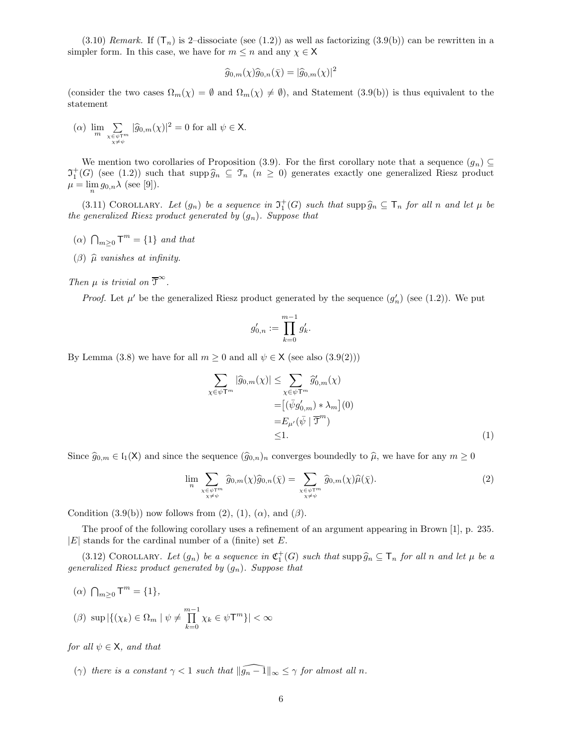(3.10) Remark. If  $(T_n)$  is 2-dissociate (see (1.2)) as well as factorizing (3.9(b)) can be rewritten in a simpler form. In this case, we have for  $m \leq n$  and any  $\chi \in \mathsf{X}$ 

$$
\widehat{g}_{0,m}(\chi)\widehat{g}_{0,n}(\bar{\chi}) = |\widehat{g}_{0,m}(\chi)|^2
$$

(consider the two cases  $\Omega_m(\chi) = \emptyset$  and  $\Omega_m(\chi) \neq \emptyset$ ), and Statement (3.9(b)) is thus equivalent to the statement

$$
(\alpha)\ \lim_{m}\sum_{\substack{\chi\in\psi\mathbb{T}^m\\ \chi\neq\psi}}|\widehat{g}_{0,m}(\chi)|^2=0\ \text{for all}\ \psi\in\mathsf{X}.
$$

We mention two corollaries of Proposition (3.9). For the first corollary note that a sequence  $(g_n) \subseteq$  $\mathfrak{I}^+_1(G)$  (see (1.2)) such that supp  $\widehat{g}_n \subseteq \mathfrak{T}_n$  ( $n \geq 0$ ) generates exactly one generalized Riesz product  $\mu = \lim_{n} g_{0,n} \lambda \text{ (see [9]).}$ 

(3.11) COROLLARY. Let  $(g_n)$  be a sequence in  $\mathfrak{I}^+_1(G)$  such that  $\text{supp}\,\widehat{g}_n \subseteq \mathsf{T}_n$  for all n and let  $\mu$  be the generalized Riesz product generated by  $(g_n)$ . Suppose that

- ( $\alpha$ )  $\bigcap_{m\geq 0}$   $\mathsf{T}^m = \{1\}$  and that
- ( $\beta$ )  $\hat{\mu}$  vanishes at infinity.

# Then  $\mu$  is trivial on  $\overline{\mathfrak{T}}^{\infty}$ .

*Proof.* Let  $\mu'$  be the generalized Riesz product generated by the sequence  $(g'_n)$  (see (1.2)). We put

$$
g'_{0,n} := \prod_{k=0}^{m-1} g'_k.
$$

By Lemma (3.8) we have for all  $m \ge 0$  and all  $\psi \in X$  (see also (3.9(2)))

$$
\sum_{\chi \in \psi \mathsf{T}^m} |\widehat{g}_{0,m}(\chi)| \leq \sum_{\chi \in \psi \mathsf{T}^m} \widehat{g}'_{0,m}(\chi)
$$
  
= 
$$
[(\bar{\psi}g'_{0,m}) * \lambda_m](0)
$$
  
= 
$$
E_{\mu'}(\bar{\psi} | \overline{\mathsf{T}}^m)
$$
  
\$\leq 1\$. (1)

Since  $\widehat{g}_{0,m} \in I_1(X)$  and since the sequence  $(\widehat{g}_{0,n})_n$  converges boundedly to  $\widehat{\mu}$ , we have for any  $m \geq 0$ 

$$
\lim_{n} \sum_{\substack{\chi \in \psi \mathsf{T}^m \\ \chi \neq \psi}} \widehat{g}_{0,m}(\chi) \widehat{g}_{0,n}(\bar{\chi}) = \sum_{\substack{\chi \in \psi \mathsf{T}^m \\ \chi \neq \psi}} \widehat{g}_{0,m}(\chi) \widehat{\mu}(\bar{\chi}). \tag{2}
$$

Condition  $(3.9(b))$  now follows from  $(2)$ ,  $(1)$ ,  $(\alpha)$ , and  $(\beta)$ .

The proof of the following corollary uses a refinement of an argument appearing in Brown [1], p. 235.  $|E|$  stands for the cardinal number of a (finite) set E.

(3.12) COROLLARY. Let  $(g_n)$  be a sequence in  $\mathfrak{C}_1^+(G)$  such that  $\text{supp}\,\widehat{g}_n \subseteq \mathsf{T}_n$  for all n and let  $\mu$  be a generalized Riesz product generated by  $(g_n)$ . Suppose that

(a)  $\bigcap_{m\geq 0}$   $T^m = \{1\},$ 

$$
(\beta) \sup |\{(\chi_k) \in \Omega_m \mid \psi \neq \prod_{k=0}^{m-1} \chi_k \in \psi \mathsf{T}^m\}| < \infty
$$

for all  $\psi \in \mathsf{X}$ , and that

(γ) there is a constant  $\gamma < 1$  such that  $\|\widehat{g_n - 1}\|_{\infty} \leq \gamma$  for almost all n.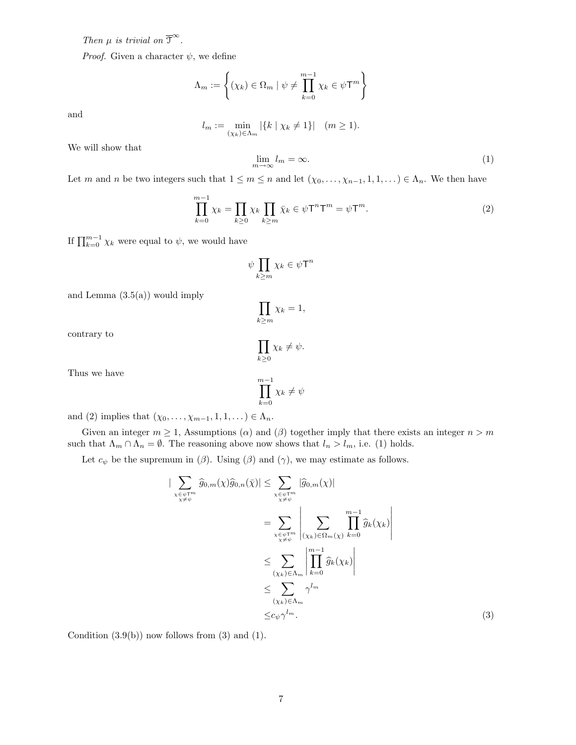Then  $\mu$  is trivial on  $\overline{\mathfrak{T}}^{\infty}$ .

*Proof.* Given a character  $\psi$ , we define

$$
\Lambda_m := \left\{ (\chi_k) \in \Omega_m \mid \psi \neq \prod_{k=0}^{m-1} \chi_k \in \psi \mathsf{T}^m \right\}
$$

and

$$
l_m := \min_{(\chi_k) \in \Lambda_m} |\{k \mid \chi_k \neq 1\}| \quad (m \ge 1).
$$

We will show that

$$
\lim_{m \to \infty} l_m = \infty. \tag{1}
$$

Let m and n be two integers such that  $1 \leq m \leq n$  and let  $(\chi_0, \ldots, \chi_{n-1}, 1, 1, \ldots) \in \Lambda_n$ . We then have

$$
\prod_{k=0}^{m-1} \chi_k = \prod_{k\geq 0} \chi_k \prod_{k\geq m} \bar{\chi}_k \in \psi \mathsf{T}^n \mathsf{T}^m = \psi \mathsf{T}^m. \tag{2}
$$

If  $\prod_{k=0}^{m-1} \chi_k$  were equal to  $\psi$ , we would have

$$
\psi \prod_{k \geq m} \chi_k \in \psi \mathsf{T}^n
$$

and Lemma  $(3.5(a))$  would imply

$$
\prod_{k\geq m} \chi_k = 1,
$$

contrary to

$$
\prod_{k\geq 0} \chi_k \neq \psi.
$$

Thus we have

$$
\prod_{k=0}^{m-1} \chi_k \neq \psi
$$

and (2) implies that  $(\chi_0, \ldots, \chi_{m-1}, 1, 1, \ldots) \in \Lambda_n$ .

Given an integer  $m \ge 1$ , Assumptions ( $\alpha$ ) and ( $\beta$ ) together imply that there exists an integer  $n > m$ such that  $\Lambda_m \cap \Lambda_n = \emptyset$ . The reasoning above now shows that  $l_n > l_m$ , i.e. (1) holds.

Let  $c_{\psi}$  be the supremum in ( $\beta$ ). Using ( $\beta$ ) and ( $\gamma$ ), we may estimate as follows.

$$
\left| \sum_{\substack{x \in \psi \mathsf{T}^m \\ x \neq \psi}} \hat{g}_{0,m}(x) \hat{g}_{0,n}(\bar{x}) \right| \leq \sum_{\substack{x \in \psi \mathsf{T}^m \\ x \neq \psi}} |\hat{g}_{0,m}(x)|
$$
\n
$$
= \sum_{\substack{x \in \psi \mathsf{T}^m \\ x \neq \psi}} \left| \sum_{(x_k) \in \Omega_m(x)} \prod_{k=0}^{m-1} \hat{g}_k(x_k) \right|
$$
\n
$$
\leq \sum_{(x_k) \in \Lambda_m} \left| \prod_{k=0}^{m-1} \hat{g}_k(x_k) \right|
$$
\n
$$
\leq \sum_{(x_k) \in \Lambda_m} \gamma^{l_m}
$$
\n
$$
\leq c_{\psi} \gamma^{l_m}.
$$
\n(3)

Condition  $(3.9(b))$  now follows from  $(3)$  and  $(1)$ .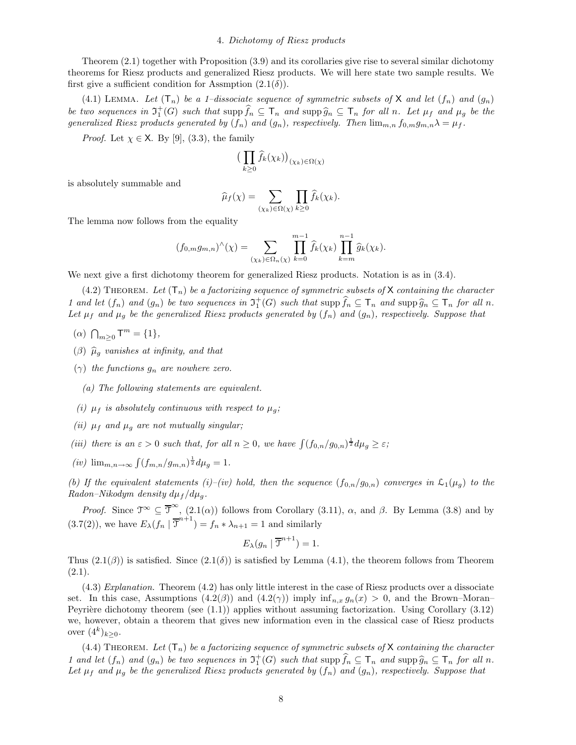### 4. Dichotomy of Riesz products

Theorem (2.1) together with Proposition (3.9) and its corollaries give rise to several similar dichotomy theorems for Riesz products and generalized Riesz products. We will here state two sample results. We first give a sufficient condition for Assmption  $(2.1(\delta))$ .

(4.1) LEMMA. Let  $(T_n)$  be a 1-dissociate sequence of symmetric subsets of X and let  $(f_n)$  and  $(g_n)$ be two sequences in  $\mathfrak{I}^+_1(G)$  such that  $\sup \widehat{f}_n \subseteq \mathsf{T}_n$  and  $\sup \widehat{g}_n \subseteq \mathsf{T}_n$  for all n. Let  $\mu_f$  and  $\mu_g$  be the generalized Riesz products generated by  $(f_n)$  and  $(g_n)$ , respectively. Then  $\lim_{m,n} f_{0,m}g_{m,n}\lambda = \mu_f$ .

*Proof.* Let  $\chi \in \mathsf{X}$ . By [9], (3.3), the family

$$
\big(\prod_{k\geq 0}\widehat{f}_k(\chi_k)\big)_{(\chi_k)\in\Omega(\chi)}
$$

is absolutely summable and

$$
\widehat{\mu}_f(\chi) = \sum_{(\chi_k) \in \Omega(\chi)} \prod_{k \ge 0} \widehat{f}_k(\chi_k).
$$

The lemma now follows from the equality

$$
(f_{0,m}g_{m,n})^{\wedge}(\chi) = \sum_{(\chi_k)\in\Omega_n(\chi)} \prod_{k=0}^{m-1} \widehat{f}_k(\chi_k) \prod_{k=m}^{n-1} \widehat{g}_k(\chi_k).
$$

We next give a first dichotomy theorem for generalized Riesz products. Notation is as in  $(3.4)$ .

 $(4.2)$  THEOREM. Let  $(T_n)$  be a factorizing sequence of symmetric subsets of X containing the character 1 and let  $(f_n)$  and  $(g_n)$  be two sequences in  $\mathfrak{I}^+_1(G)$  such that  $\sup \widehat{f}_n \subseteq \mathsf{T}_n$  and  $\sup \widehat{g}_n \subseteq \mathsf{T}_n$  for all n. Let  $\mu_f$  and  $\mu_q$  be the generalized Riesz products generated by  $(f_n)$  and  $(g_n)$ , respectively. Suppose that

- (a)  $\bigcap_{m\geq 0}$   $\mathsf{T}^m = \{1\},$
- ( $\beta$ )  $\widehat{\mu}_g$  vanishes at infinity, and that
- $(\gamma)$  the functions  $g_n$  are nowhere zero.
	- (a) The following statements are equivalent.
- (i)  $\mu_f$  is absolutely continuous with respect to  $\mu_g$ ;
- (ii)  $\mu_f$  and  $\mu_g$  are not mutually singular;
- (iii) there is an  $\varepsilon > 0$  such that, for all  $n \geq 0$ , we have  $\int (f_{0,n}/g_{0,n})^{\frac{1}{2}} d\mu_g \geq \varepsilon$ ;
- (*iv*)  $\lim_{m,n\to\infty} \int (f_{m,n}/g_{m,n})^{\frac{1}{2}} d\mu_g = 1.$

(b) If the equivalent statements (i)–(iv) hold, then the sequence  $(f_{0,n}/g_{0,n})$  converges in  $\mathcal{L}_1(\mu_q)$  to the Radon–Nikodym density  $d\mu_f / d\mu_g$ .

Proof. Since  $\mathfrak{T}^{\infty} \subseteq \overline{\mathfrak{T}}^{\infty}$ ,  $(2.1(\alpha))$  follows from Corollary  $(3.11)$ ,  $\alpha$ , and  $\beta$ . By Lemma  $(3.8)$  and by  $(3.7(2))$ , we have  $E_{\lambda}(f_n | \overline{\mathcal{J}}^{n+1}) = f_n * \lambda_{n+1} = 1$  and similarly

$$
E_{\lambda}(g_n \mid \overline{\mathfrak{I}}^{n+1}) = 1.
$$

Thus  $(2.1(\beta))$  is satisfied. Since  $(2.1(\delta))$  is satisfied by Lemma  $(4.1)$ , the theorem follows from Theorem  $(2.1).$ 

(4.3) Explanation. Theorem (4.2) has only little interest in the case of Riesz products over a dissociate set. In this case, Assumptions  $(4.2(\beta))$  and  $(4.2(\gamma))$  imply  $\inf_{n,x} g_n(x) > 0$ , and the Brown–Moran– Peyrière dichotomy theorem (see  $(1.1)$ ) applies without assuming factorization. Using Corollary  $(3.12)$ we, however, obtain a theorem that gives new information even in the classical case of Riesz products over  $(4^k)_{k \geq 0}$ .

 $(4.4)$  THEOREM. Let  $(T_n)$  be a factorizing sequence of symmetric subsets of X containing the character 1 and let  $(f_n)$  and  $(g_n)$  be two sequences in  $\mathfrak{I}^+_1(G)$  such that  $\sup \widehat{f}_n \subseteq \mathsf{T}_n$  and  $\sup \widehat{g}_n \subseteq \mathsf{T}_n$  for all n. Let  $\mu_f$  and  $\mu_g$  be the generalized Riesz products generated by  $(f_n)$  and  $(g_n)$ , respectively. Suppose that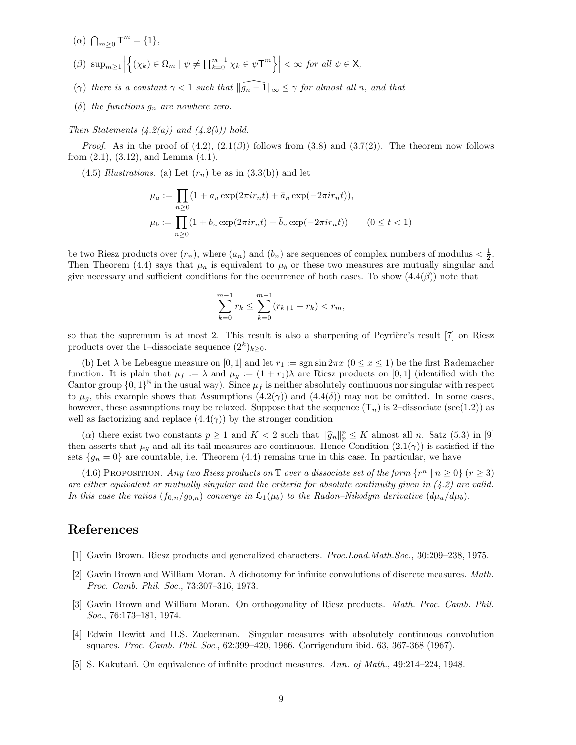- (a)  $\bigcap_{m\geq 0}$   $T^m = \{1\},$
- $(\beta) \ \sup_{m\geq 1} \Big|$  $\left\{(\chi_k) \in \Omega_m \mid \psi \neq \prod_{k=0}^{m-1} \chi_k \in \psi \mathsf{T}^m \right\} \Big| < \infty \text{ for all } \psi \in \mathsf{X},$
- (γ) there is a constant  $\gamma < 1$  such that  $\|\widehat{g_n 1}\|_{\infty} \leq \gamma$  for almost all n, and that
- (δ) the functions  $g_n$  are nowhere zero.

Then Statements  $(4.2(a))$  and  $(4.2(b))$  hold.

*Proof.* As in the proof of  $(4.2)$ ,  $(2.1(\beta))$  follows from  $(3.8)$  and  $(3.7(2))$ . The theorem now follows from  $(2.1)$ ,  $(3.12)$ , and Lemma  $(4.1)$ .

 $(4.5)$  Illustrations. (a) Let  $(r_n)$  be as in  $(3.3(b))$  and let

$$
\mu_a := \prod_{n\geq 0} (1 + a_n \exp(2\pi i r_n t) + \bar{a}_n \exp(-2\pi i r_n t)),
$$
  
\n
$$
\mu_b := \prod_{n\geq 0} (1 + b_n \exp(2\pi i r_n t) + \bar{b}_n \exp(-2\pi i r_n t)) \qquad (0 \leq t < 1)
$$

be two Riesz products over  $(r_n)$ , where  $(a_n)$  and  $(b_n)$  are sequences of complex numbers of modulus  $\langle \frac{1}{2} \rangle$ . Then Theorem (4.4) says that  $\mu_a$  is equivalent to  $\mu_b$  or these two measures are mutually singular and give necessary and sufficient conditions for the occurrence of both cases. To show  $(4.4(\beta))$  note that

$$
\sum_{k=0}^{m-1} r_k \le \sum_{k=0}^{m-1} (r_{k+1} - r_k) < r_m,
$$

so that the supremum is at most 2. This result is also a sharpening of Peyrière's result [7] on Riesz products over the 1-dissociate sequence  $(2^k)_{k \geq 0}$ .

(b) Let  $\lambda$  be Lebesgue measure on [0, 1] and let  $r_1 := \text{sgn} \sin 2\pi x$  ( $0 \le x \le 1$ ) be the first Rademacher function. It is plain that  $\mu_f := \lambda$  and  $\mu_g := (1 + r_1)\lambda$  are Riesz products on [0, 1] (identified with the Cantor group  $\{0,1\}^{\mathbb{N}}$  in the usual way). Since  $\mu_f$  is neither absolutely continuous nor singular with respect to  $\mu_q$ , this example shows that Assumptions  $(4.2(\gamma))$  and  $(4.4(\delta))$  may not be omitted. In some cases, however, these assumptions may be relaxed. Suppose that the sequence  $(T_n)$  is 2–dissociate (see(1.2)) as well as factorizing and replace  $(4.4(\gamma))$  by the stronger condition

(a) there exist two constants  $p \ge 1$  and  $K < 2$  such that  $\|\widehat{g}_n\|_p^p \le K$  almost all n. Satz (5.3) in [9] then asserts that  $\mu_q$  and all its tail measures are continuous. Hence Condition (2.1( $\gamma$ )) is satisfied if the sets  $\{g_n = 0\}$  are countable, i.e. Theorem (4.4) remains true in this case. In particular, we have

(4.6) PROPOSITION. Any two Riesz products on  $\mathbb T$  over a dissociate set of the form  $\{r^n \mid n \geq 0\}$   $(r \geq 3)$ are either equivalent or mutually singular and the criteria for absolute continuity given in  $(4.2)$  are valid. In this case the ratios  $(f_{0,n}/g_{0,n})$  converge in  $\mathcal{L}_1(\mu_b)$  to the Radon–Nikodym derivative  $(d\mu_a/d\mu_b)$ .

# References

- [1] Gavin Brown. Riesz products and generalized characters. Proc.Lond.Math.Soc., 30:209–238, 1975.
- [2] Gavin Brown and William Moran. A dichotomy for infinite convolutions of discrete measures. Math. Proc. Camb. Phil. Soc., 73:307–316, 1973.
- [3] Gavin Brown and William Moran. On orthogonality of Riesz products. *Math. Proc. Camb. Phil.* Soc., 76:173–181, 1974.
- [4] Edwin Hewitt and H.S. Zuckerman. Singular measures with absolutely continuous convolution squares. Proc. Camb. Phil. Soc., 62:399–420, 1966. Corrigendum ibid. 63, 367-368 (1967).
- [5] S. Kakutani. On equivalence of infinite product measures. Ann. of Math., 49:214–224, 1948.